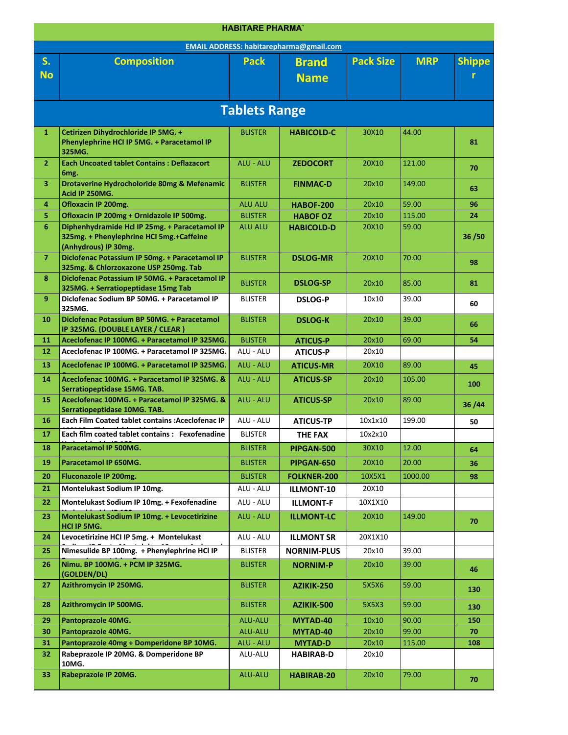| <b>HABITARE PHARMA'</b>                        |                                                                                                                   |                      |                            |                  |                 |               |  |
|------------------------------------------------|-------------------------------------------------------------------------------------------------------------------|----------------------|----------------------------|------------------|-----------------|---------------|--|
| <b>EMAIL ADDRESS: habitarepharma@gmail.com</b> |                                                                                                                   |                      |                            |                  |                 |               |  |
| S.                                             | <b>Composition</b>                                                                                                | <b>Pack</b>          | <b>Brand</b>               | <b>Pack Size</b> | <b>MRP</b>      | <b>Shippe</b> |  |
| <b>No</b>                                      |                                                                                                                   |                      | <b>Name</b>                |                  |                 |               |  |
|                                                |                                                                                                                   |                      |                            |                  |                 |               |  |
|                                                |                                                                                                                   |                      |                            |                  |                 |               |  |
|                                                |                                                                                                                   | <b>Tablets Range</b> |                            |                  |                 |               |  |
| 1                                              | Cetirizen Dihydrochloride IP 5MG. +<br>Phenylephrine HCI IP 5MG. + Paracetamol IP<br>325MG.                       | <b>BLISTER</b>       | <b>HABICOLD-C</b>          | 30X10            | 44.00           | 81            |  |
| $\overline{2}$                                 | <b>Each Uncoated tablet Contains: Deflazacort</b><br>6 <sub>mg</sub>                                              | ALU - ALU            | <b>ZEDOCORT</b>            | 20X10            | 121.00          | 70            |  |
| 3                                              | Drotaverine Hydrocholoride 80mg & Mefenamic<br>Acid IP 250MG.                                                     | <b>BLISTER</b>       | <b>FINMAC-D</b>            | 20x10            | 149.00          | 63            |  |
| 4                                              | Ofloxacin IP 200mg.                                                                                               | <b>ALU ALU</b>       | <b>HABOF-200</b>           | 20x10            | 59.00           | 96            |  |
| 5.                                             | Ofloxacin IP 200mg + Ornidazole IP 500mg.                                                                         | <b>BLISTER</b>       | <b>HABOF OZ</b>            | 20x10            | 115.00          | 24            |  |
| 6                                              | Diphenhydramide Hcl IP 25mg. + Paracetamol IP<br>325mg. + Phenylephrine HCI 5mg.+Caffeine<br>(Anhydrous) IP 30mg. | <b>ALU ALU</b>       | <b>HABICOLD-D</b>          | 20X10            | 59.00           | 36/50         |  |
| $\overline{7}$                                 | Diclofenac Potassium IP 50mg. + Paracetamol IP<br>325mg. & Chlorzoxazone USP 250mg. Tab                           | <b>BLISTER</b>       | <b>DSLOG-MR</b>            | 20X10            | 70.00           | 98            |  |
| 8                                              | Diclofenac Potassium IP 50MG. + Paracetamol IP<br>325MG. + Serratiopeptidase 15mg Tab                             | <b>BLISTER</b>       | <b>DSLOG-SP</b>            | 20x10            | 85.00           | 81            |  |
| 9                                              | Diclofenac Sodium BP 50MG. + Paracetamol IP<br>325MG.                                                             | <b>BLISTER</b>       | <b>DSLOG-P</b>             | 10x10            | 39.00           | 60            |  |
| 10                                             | Diclofenac Potassium BP 50MG. + Paracetamol<br>IP 325MG. (DOUBLE LAYER / CLEAR )                                  | <b>BLISTER</b>       | <b>DSLOG-K</b>             | 20x10            | 39.00           | 66            |  |
| 11                                             | Aceclofenac IP 100MG. + Paracetamol IP 325MG.                                                                     | <b>BLISTER</b>       | <b>ATICUS-P</b>            | 20x10            | 69.00           | 54            |  |
| 12                                             | Aceclofenac IP 100MG. + Paracetamol IP 325MG.                                                                     | ALU - ALU            | <b>ATICUS-P</b>            | 20x10            |                 |               |  |
| 13                                             | Aceclofenac IP 100MG. + Paracetamol IP 325MG.                                                                     | ALU - ALU            | <b>ATICUS-MR</b>           | 20X10            | 89.00           | 45            |  |
| 14                                             | Aceclofenac 100MG. + Paracetamol IP 325MG. &<br>Serratiopeptidase 15MG. TAB.                                      | ALU - ALU            | <b>ATICUS-SP</b>           | 20x10            | 105.00          | 100           |  |
| 15                                             | Aceclofenac 100MG. + Paracetamol IP 325MG. &<br>Serratiopeptidase 10MG. TAB.                                      | ALU - ALU            | <b>ATICUS-SP</b>           | 20x10            | 89.00           | 36/44         |  |
| 16                                             | Each Film Coated tablet contains : Aceclofenac IP                                                                 | ALU - ALU            | <b>ATICUS-TP</b>           | 10x1x10          | 199.00          | 50            |  |
| 17                                             | Each film coated tablet contains: Fexofenadine                                                                    | BLISTER              | <b>THE FAX</b>             | 10x2x10          |                 |               |  |
| 18                                             | Paracetamol IP 500MG.                                                                                             | <b>BLISTER</b>       | PIPGAN-500                 | 30X10            | 12.00           | 64            |  |
| 19                                             | Paracetamol IP 650MG.                                                                                             | <b>BLISTER</b>       | PIPGAN-650                 | 20X10            | 20.00           | 36            |  |
| 20                                             | Fluconazole IP 200mg.                                                                                             | <b>BLISTER</b>       | <b>FOLKNER-200</b>         | 10X5X1           | 1000.00         | 98            |  |
| 21                                             | Montelukast Sodium IP 10mg.                                                                                       | ALU - ALU            | ILLMONT-10                 | 20X10            |                 |               |  |
| 22                                             | Montelukast Sodium IP 10mg. + Fexofenadine                                                                        | ALU - ALU            | <b>ILLMONT-F</b>           | 10X1X10          |                 |               |  |
| 23                                             | Montelukast Sodium IP 10mg. + Levocetirizine<br>HCI IP 5MG.                                                       | ALU - ALU            | <b>ILLMONT-LC</b>          | 20X10            | 149.00          | 70            |  |
| 24                                             | Levocetirizine HCI IP 5mg. + Montelukast                                                                          | ALU - ALU            | <b>ILLMONT SR</b>          | 20X1X10          |                 |               |  |
| 25                                             | Nimesulide BP 100mg. + Phenylephrine HCl IP                                                                       | <b>BLISTER</b>       | <b>NORNIM-PLUS</b>         | 20x10            | 39.00           |               |  |
| 26                                             | Nimu. BP 100MG. + PCM IP 325MG.<br>(GOLDEN/DL)                                                                    | <b>BLISTER</b>       | <b>NORNIM-P</b>            | 20x10            | 39.00           | 46            |  |
| 27                                             | Azithromycin IP 250MG.                                                                                            | <b>BLISTER</b>       | AZIKIK-250                 | 5X5X6            | 59.00           | 130           |  |
| 28                                             | Azithromycin IP 500MG.                                                                                            | <b>BLISTER</b>       | AZIKIK-500                 | 5X5X3            | 59.00           | 130           |  |
| 29                                             | Pantoprazole 40MG.                                                                                                | <b>ALU-ALU</b>       | MYTAD-40                   | 10x10            | 90.00           | 150           |  |
| 30<br>31                                       | Pantoprazole 40MG.<br>Pantoprazole 40mg + Domperidone BP 10MG.                                                    | ALU-ALU<br>ALU - ALU | MYTAD-40<br><b>MYTAD-D</b> | 20x10<br>20x10   | 99.00<br>115.00 | 70<br>108     |  |
| 32                                             | Rabeprazole IP 20MG. & Domperidone BP                                                                             | ALU-ALU              | <b>HABIRAB-D</b>           | 20x10            |                 |               |  |
|                                                | 10MG.                                                                                                             |                      |                            |                  |                 |               |  |
| 33                                             | Rabeprazole IP 20MG.                                                                                              | ALU-ALU              | <b>HABIRAB-20</b>          | 20x10            | 79.00           | 70            |  |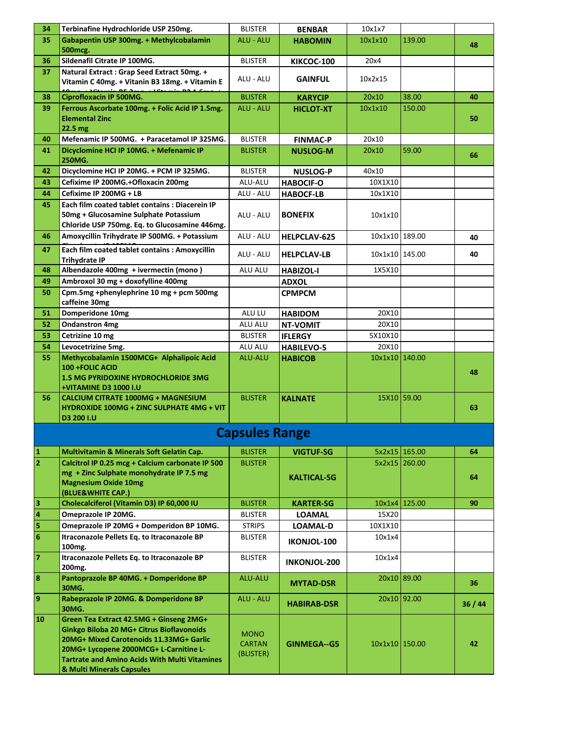| 34                      | Terbinafine Hydrochloride USP 250mg.                                                                                                                                                                                                                           | <b>BLISTER</b>                            | <b>BENBAR</b>       | 10x1x7           |               |       |  |  |  |
|-------------------------|----------------------------------------------------------------------------------------------------------------------------------------------------------------------------------------------------------------------------------------------------------------|-------------------------------------------|---------------------|------------------|---------------|-------|--|--|--|
| 35                      | Gabapentin USP 300mg. + Methylcobalamin<br>500mcg.                                                                                                                                                                                                             | ALU - ALU                                 | <b>HABOMIN</b>      | 10x1x10          | 139.00        | 48    |  |  |  |
| 36                      | Sildenafil Citrate IP 100MG.                                                                                                                                                                                                                                   | <b>BLISTER</b>                            | KIKCOC-100          | 20x4             |               |       |  |  |  |
| 37                      | Natural Extract: Grap Seed Extract 50mg. +<br>Vitamin C 40mg. + Vitanin B3 18mg. + Vitamin E<br>die BE-Berg in Witchstein BB-4-C.                                                                                                                              | ALU - ALU                                 | <b>GAINFUL</b>      | 10x2x15          |               |       |  |  |  |
| 38                      | Ciprofloxacin IP 500MG.                                                                                                                                                                                                                                        | <b>BLISTER</b>                            | <b>KARYCIP</b>      | 20x10            | 38.00         | 40    |  |  |  |
| 39                      | Ferrous Ascorbate 100mg. + Folic Acid IP 1.5mg.<br><b>Elemental Zinc</b><br>22.5 mg                                                                                                                                                                            | ALU - ALU                                 | <b>HICLOT-XT</b>    | 10x1x10          | 150.00        | 50    |  |  |  |
| 40                      | Mefenamic IP 500MG. + Paracetamol IP 325MG.                                                                                                                                                                                                                    | <b>BLISTER</b>                            | <b>FINMAC-P</b>     | 20x10            |               |       |  |  |  |
| 41                      | Dicyclomine HCI IP 10MG. + Mefenamic IP<br>250MG.                                                                                                                                                                                                              | <b>BLISTER</b>                            | <b>NUSLOG-M</b>     | 20x10            | 59.00         | 66    |  |  |  |
| 42                      | Dicyclomine HCI IP 20MG. + PCM IP 325MG.                                                                                                                                                                                                                       | <b>BLISTER</b>                            | <b>NUSLOG-P</b>     | 40x10            |               |       |  |  |  |
| 43                      | Cefixime IP 200MG.+Ofloxacin 200mg                                                                                                                                                                                                                             | ALU-ALU                                   | <b>HABOCIF-O</b>    | 10X1X10          |               |       |  |  |  |
| 44                      | Cefixime IP 200MG + LB                                                                                                                                                                                                                                         | ALU - ALU                                 | <b>HABOCF-LB</b>    | 10x1X10          |               |       |  |  |  |
| 45                      | Each film coated tablet contains : Diacerein IP<br>50mg + Glucosamine Sulphate Potassium<br>Chloride USP 750mg. Eq. to Glucosamine 446mg.                                                                                                                      | ALU - ALU                                 | <b>BONEFIX</b>      | 10x1x10          |               |       |  |  |  |
| 46                      | Amoxycillin Trihydrate IP 500MG. + Potassium                                                                                                                                                                                                                   | ALU - ALU                                 | <b>HELPCLAV-625</b> | 10x1x10   189.00 |               | 40    |  |  |  |
| 47                      | Each film coated tablet contains : Amoxycillin<br><b>Trihydrate IP</b>                                                                                                                                                                                         | ALU - ALU                                 | <b>HELPCLAV-LB</b>  | 10x1x10 145.00   |               | 40    |  |  |  |
| 48                      | Albendazole 400mg + ivermectin (mono)                                                                                                                                                                                                                          | ALU ALU                                   | <b>HABIZOL-I</b>    | 1X5X10           |               |       |  |  |  |
| 49                      | Ambroxol 30 mg + doxofylline 400mg                                                                                                                                                                                                                             |                                           | <b>ADXOL</b>        |                  |               |       |  |  |  |
| 50                      | Cpm.5mg +phenylephrine 10 mg + pcm 500mg<br>caffeine 30mg                                                                                                                                                                                                      |                                           | <b>CPMPCM</b>       |                  |               |       |  |  |  |
| 51                      | Domperidone 10mg                                                                                                                                                                                                                                               | ALU LU                                    | <b>HABIDOM</b>      | 20X10            |               |       |  |  |  |
| 52                      | <b>Ondanstron 4mg</b>                                                                                                                                                                                                                                          | ALU ALU                                   | <b>NT-VOMIT</b>     | 20X10            |               |       |  |  |  |
| 53                      | Cetrizine 10 mg                                                                                                                                                                                                                                                | <b>BLISTER</b>                            | <b>IFLERGY</b>      | 5X10X10          |               |       |  |  |  |
| 54                      | Levocetrizine 5mg.                                                                                                                                                                                                                                             | ALU ALU                                   | <b>HABILEVO-5</b>   | 20X10            |               |       |  |  |  |
| 55                      | Methycobalamin 1500MCG+ Alphalipoic Acid<br>100 + FOLIC ACID<br><b>1.5 MG PYRIDOXINE HYDROCHLORIDE 3MG</b><br>+VITAMINE D3 1000 I.U                                                                                                                            | <b>ALU-ALU</b>                            | <b>HABICOB</b>      | 10x1x10 140.00   |               | 48    |  |  |  |
| 56                      | <b>CALCIUM CITRATE 1000MG + MAGNESIUM</b><br><b>HYDROXIDE 100MG + ZINC SULPHATE 4MG + VIT</b><br>D3 200 I.U                                                                                                                                                    | <b>BLISTER</b>                            | <b>KALNATE</b>      | 15X10 59.00      |               | 63    |  |  |  |
|                         | <b>Capsules Range</b>                                                                                                                                                                                                                                          |                                           |                     |                  |               |       |  |  |  |
| $\frac{1}{2}$           | <b>Multivitamin &amp; Minerals Soft Gelatin Cap.</b>                                                                                                                                                                                                           | <b>BLISTER</b>                            | <b>VIGTUF-SG</b>    |                  | 5x2x15 165.00 | 64    |  |  |  |
|                         | Calcitrol IP 0.25 mcg + Calcium carbonate IP 500<br>mg + Zinc Sulphate monohydrate IP 7.5 mg<br><b>Magnesium Oxide 10mg</b><br>(BLUE&WHITE CAP.)                                                                                                               | <b>BLISTER</b>                            | <b>KALTICAL-SG</b>  |                  | 5x2x15 260.00 | 64    |  |  |  |
| $\overline{\mathbf{3}}$ | Cholecalciferol (Vitamin D3) IP 60,000 IU                                                                                                                                                                                                                      | <b>BLISTER</b>                            | <b>KARTER-SG</b>    |                  | 10x1x4 125.00 | 90    |  |  |  |
| $\frac{4}{5}$           | Omeprazole IP 20MG.                                                                                                                                                                                                                                            | <b>BLISTER</b>                            | <b>LOAMAL</b>       | 15X20            |               |       |  |  |  |
|                         | Omeprazole IP 20MG + Domperidon BP 10MG.                                                                                                                                                                                                                       | <b>STRIPS</b>                             | <b>LOAMAL-D</b>     | 10X1X10          |               |       |  |  |  |
| $\overline{6}$          | Itraconazole Pellets Eq. to Itraconazole BP<br>100mg.                                                                                                                                                                                                          | <b>BLISTER</b>                            | IKONJOL-100         | 10x1x4           |               |       |  |  |  |
| $\overline{\mathbf{z}}$ | Itraconazole Pellets Eq. to Itraconazole BP<br>200mg.                                                                                                                                                                                                          | <b>BLISTER</b>                            | <b>INKONJOL-200</b> | 10x1x4           |               |       |  |  |  |
| $\overline{\mathbf{8}}$ | Pantoprazole BP 40MG. + Domperidone BP<br>30MG.                                                                                                                                                                                                                | ALU-ALU                                   | <b>MYTAD-DSR</b>    | 20x10 89.00      |               | 36    |  |  |  |
| و                       | Rabeprazole IP 20MG. & Domperidone BP<br>30MG.                                                                                                                                                                                                                 | ALU - ALU                                 | <b>HABIRAB-DSR</b>  | 20x10 92.00      |               | 36/44 |  |  |  |
| 10                      | Green Tea Extract 42.5MG + Ginseng 2MG+<br>Ginkgo Biloba 20 MG+ Citrus Bioflavonoids<br>20MG+ Mixed Carotenoids 11.33MG+ Garlic<br>20MG+ Lycopene 2000MCG+ L-Carnitine L-<br><b>Tartrate and Amino Acids With Multi Vitamines</b><br>& Multi Minerals Capsules | <b>MONO</b><br><b>CARTAN</b><br>(BLISTER) | GINMEGA--G5         | 10x1x10 150.00   |               | 42    |  |  |  |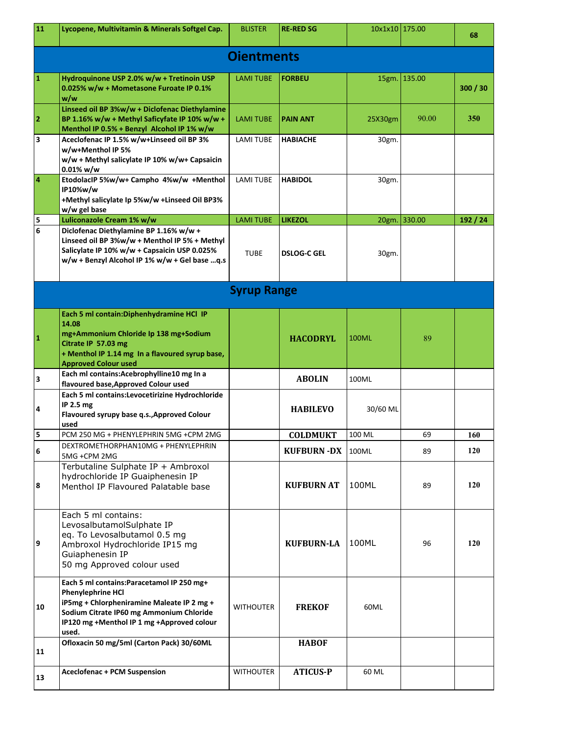| 11                                                                                                                                                                                                                                                                                                                                                                                                                                                                                                                                                                                                                                                                                                                                                                                                                                                                                                                                                                                                    | Lycopene, Multivitamin & Minerals Softgel Cap.                                                                                                                                                                          | <b>BLISTER</b>     | <b>RE-RED SG</b>   |          |    | 68  |  |  |  |
|-------------------------------------------------------------------------------------------------------------------------------------------------------------------------------------------------------------------------------------------------------------------------------------------------------------------------------------------------------------------------------------------------------------------------------------------------------------------------------------------------------------------------------------------------------------------------------------------------------------------------------------------------------------------------------------------------------------------------------------------------------------------------------------------------------------------------------------------------------------------------------------------------------------------------------------------------------------------------------------------------------|-------------------------------------------------------------------------------------------------------------------------------------------------------------------------------------------------------------------------|--------------------|--------------------|----------|----|-----|--|--|--|
| 10x1x10 175.00<br><b>Oientments</b><br>$\mathbf{1}$<br>Hydroquinone USP 2.0% w/w + Tretinoin USP<br>15gm. 135.00<br><b>LAMI TUBE</b><br><b>FORBEU</b><br>0.025% w/w + Mometasone Furoate IP 0.1%<br>300 / 30<br>w/w<br>Linseed oil BP 3%w/w + Diclofenac Diethylamine<br>BP 1.16% w/w + Methyl Saficyfate IP 10% w/w +<br>90.00<br><b>350</b><br>$\vert$ 2<br><b>LAMI TUBE</b><br><b>PAIN ANT</b><br>25X30gm<br>Menthol IP 0.5% + Benzyl Alcohol IP 1% w/w<br>Aceclofenac IP 1.5% w/w+Linseed oil BP 3%<br><b>LAMI TUBE</b><br><b>HABIACHE</b><br>З<br>30gm.<br>w/w+Menthol IP 5%<br>w/w + Methyl salicylate IP 10% w/w+ Capsaicin<br>$0.01\%$ w/w<br>EtodolacIP 5%w/w+ Campho 4%w/w +Menthol<br><b>LAMI TUBE</b><br>4<br><b>HABIDOL</b><br>30gm.<br><b>IP10%w/w</b><br>+Methyl salicylate Ip 5%w/w +Linseed Oil BP3%<br>w/w gel base<br>Luliconazole Cream 1% w/w<br>20gm. 330.00<br>5<br><b>LAMI TUBE</b><br><b>LIKEZOL</b><br>192 / 24<br>$\overline{6}$<br>Diclofenac Diethylamine BP 1.16% w/w + |                                                                                                                                                                                                                         |                    |                    |          |    |     |  |  |  |
|                                                                                                                                                                                                                                                                                                                                                                                                                                                                                                                                                                                                                                                                                                                                                                                                                                                                                                                                                                                                       |                                                                                                                                                                                                                         |                    |                    |          |    |     |  |  |  |
|                                                                                                                                                                                                                                                                                                                                                                                                                                                                                                                                                                                                                                                                                                                                                                                                                                                                                                                                                                                                       |                                                                                                                                                                                                                         |                    |                    |          |    |     |  |  |  |
|                                                                                                                                                                                                                                                                                                                                                                                                                                                                                                                                                                                                                                                                                                                                                                                                                                                                                                                                                                                                       |                                                                                                                                                                                                                         |                    |                    |          |    |     |  |  |  |
|                                                                                                                                                                                                                                                                                                                                                                                                                                                                                                                                                                                                                                                                                                                                                                                                                                                                                                                                                                                                       |                                                                                                                                                                                                                         |                    |                    |          |    |     |  |  |  |
|                                                                                                                                                                                                                                                                                                                                                                                                                                                                                                                                                                                                                                                                                                                                                                                                                                                                                                                                                                                                       |                                                                                                                                                                                                                         |                    |                    |          |    |     |  |  |  |
|                                                                                                                                                                                                                                                                                                                                                                                                                                                                                                                                                                                                                                                                                                                                                                                                                                                                                                                                                                                                       | Linseed oil BP 3%w/w + Menthol IP 5% + Methyl<br>Salicylate IP 10% w/w + Capsaicin USP 0.025%<br>w/w + Benzyl Alcohol IP 1% w/w + Gel base q.s                                                                          | <b>TUBE</b>        | <b>DSLOG-C GEL</b> | 30gm.    |    |     |  |  |  |
|                                                                                                                                                                                                                                                                                                                                                                                                                                                                                                                                                                                                                                                                                                                                                                                                                                                                                                                                                                                                       |                                                                                                                                                                                                                         | <b>Syrup Range</b> |                    |          |    |     |  |  |  |
| 1                                                                                                                                                                                                                                                                                                                                                                                                                                                                                                                                                                                                                                                                                                                                                                                                                                                                                                                                                                                                     | Each 5 ml contain: Diphenhydramine HCl IP<br>14.08<br>mg+Ammonium Chloride Ip 138 mg+Sodium<br>Citrate IP 57.03 mg<br>+ Menthol IP 1.14 mg In a flavoured syrup base,<br><b>Approved Colour used</b>                    |                    | <b>HACODRYL</b>    | 100ML    | 89 |     |  |  |  |
|                                                                                                                                                                                                                                                                                                                                                                                                                                                                                                                                                                                                                                                                                                                                                                                                                                                                                                                                                                                                       | Each ml contains: Acebrophylline 10 mg In a                                                                                                                                                                             |                    |                    |          |    |     |  |  |  |
| 3                                                                                                                                                                                                                                                                                                                                                                                                                                                                                                                                                                                                                                                                                                                                                                                                                                                                                                                                                                                                     | flavoured base, Approved Colour used                                                                                                                                                                                    |                    | <b>ABOLIN</b>      | 100ML    |    |     |  |  |  |
| 4                                                                                                                                                                                                                                                                                                                                                                                                                                                                                                                                                                                                                                                                                                                                                                                                                                                                                                                                                                                                     | Each 5 ml contains:Levocetirizine Hydrochloride<br>IP 2.5 mg<br>Flavoured syrupy base q.s., Approved Colour<br>used                                                                                                     |                    | <b>HABILEVO</b>    | 30/60 ML |    |     |  |  |  |
| 5                                                                                                                                                                                                                                                                                                                                                                                                                                                                                                                                                                                                                                                                                                                                                                                                                                                                                                                                                                                                     | PCM 250 MG + PHENYLEPHRIN 5MG +CPM 2MG                                                                                                                                                                                  |                    | <b>COLDMUKT</b>    | 100 ML   | 69 | 160 |  |  |  |
| 6                                                                                                                                                                                                                                                                                                                                                                                                                                                                                                                                                                                                                                                                                                                                                                                                                                                                                                                                                                                                     | DEXTROMETHORPHAN10MG + PHENYLEPHRIN<br>5MG +CPM 2MG                                                                                                                                                                     |                    | <b>KUFBURN-DX</b>  | 100ML    | 89 | 120 |  |  |  |
| 8                                                                                                                                                                                                                                                                                                                                                                                                                                                                                                                                                                                                                                                                                                                                                                                                                                                                                                                                                                                                     | Terbutaline Sulphate IP + Ambroxol<br>hydrochloride IP Guaiphenesin IP<br>Menthol IP Flavoured Palatable base                                                                                                           |                    | <b>KUFBURN AT</b>  | 100ML    | 89 | 120 |  |  |  |
| 9                                                                                                                                                                                                                                                                                                                                                                                                                                                                                                                                                                                                                                                                                                                                                                                                                                                                                                                                                                                                     | Each 5 ml contains:<br>LevosalbutamolSulphate IP<br>eq. To Levosalbutamol 0.5 mg<br>Ambroxol Hydrochloride IP15 mg<br>Guiaphenesin IP<br>50 mg Approved colour used                                                     |                    | <b>KUFBURN-LA</b>  | 100ML    | 96 | 120 |  |  |  |
| 10                                                                                                                                                                                                                                                                                                                                                                                                                                                                                                                                                                                                                                                                                                                                                                                                                                                                                                                                                                                                    | Each 5 ml contains: Paracetamol IP 250 mg+<br><b>Phenylephrine HCl</b><br>iP5mg + Chlorpheniramine Maleate IP 2 mg +<br>Sodium Citrate IP60 mg Ammonium Chloride<br>IP120 mg +Menthol IP 1 mg +Approved colour<br>used. | <b>WITHOUTER</b>   | <b>FREKOF</b>      | 60ML     |    |     |  |  |  |
| 11                                                                                                                                                                                                                                                                                                                                                                                                                                                                                                                                                                                                                                                                                                                                                                                                                                                                                                                                                                                                    | Ofloxacin 50 mg/5ml (Carton Pack) 30/60ML                                                                                                                                                                               |                    | <b>HABOF</b>       |          |    |     |  |  |  |
|                                                                                                                                                                                                                                                                                                                                                                                                                                                                                                                                                                                                                                                                                                                                                                                                                                                                                                                                                                                                       |                                                                                                                                                                                                                         |                    | <b>ATICUS-P</b>    |          |    |     |  |  |  |